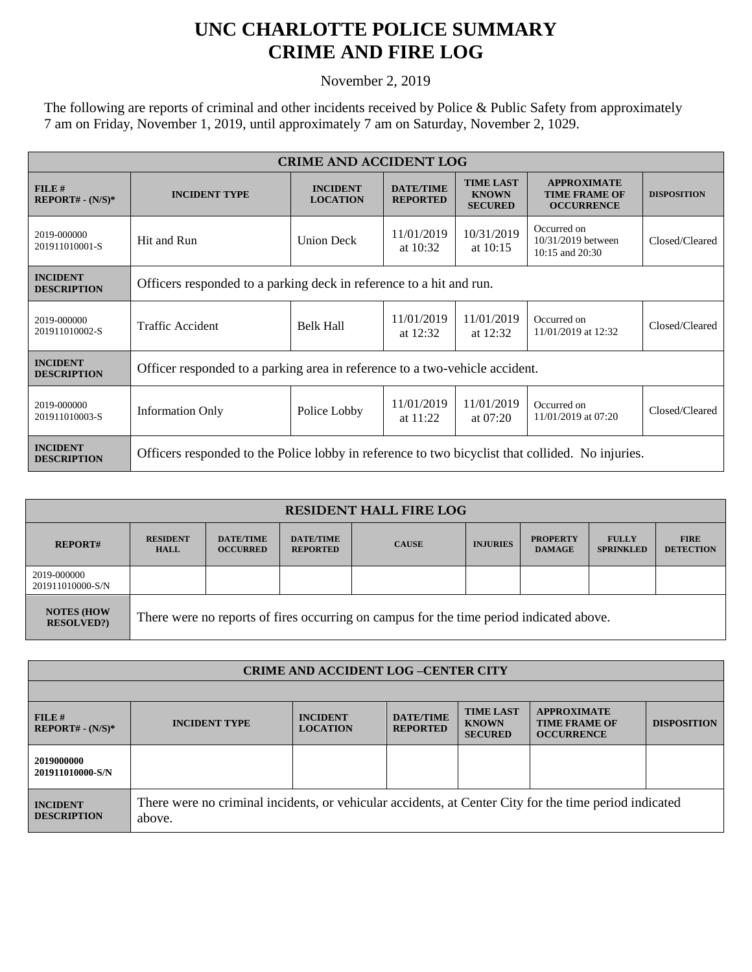## **UNC CHARLOTTE POLICE SUMMARY CRIME AND FIRE LOG**

November 2, 2019

The following are reports of criminal and other incidents received by Police & Public Safety from approximately 7 am on Friday, November 1, 2019, until approximately 7 am on Saturday, November 2, 1029.

| <b>CRIME AND ACCIDENT LOG</b>         |                                                                                                  |                                    |                                     |                                                    |                                                                 |                    |  |  |
|---------------------------------------|--------------------------------------------------------------------------------------------------|------------------------------------|-------------------------------------|----------------------------------------------------|-----------------------------------------------------------------|--------------------|--|--|
| FILE#<br>$REPORT# - (N/S)*$           | <b>INCIDENT TYPE</b>                                                                             | <b>INCIDENT</b><br><b>LOCATION</b> | <b>DATE/TIME</b><br><b>REPORTED</b> | <b>TIME LAST</b><br><b>KNOWN</b><br><b>SECURED</b> | <b>APPROXIMATE</b><br><b>TIME FRAME OF</b><br><b>OCCURRENCE</b> | <b>DISPOSITION</b> |  |  |
| 2019-000000<br>201911010001-S         | Hit and Run                                                                                      | <b>Union Deck</b>                  | 11/01/2019<br>at $10:32$            | 10/31/2019<br>at $10:15$                           | Occurred on<br>10/31/2019 between<br>$10:15$ and $20:30$        | Closed/Cleared     |  |  |
| <b>INCIDENT</b><br><b>DESCRIPTION</b> | Officers responded to a parking deck in reference to a hit and run.                              |                                    |                                     |                                                    |                                                                 |                    |  |  |
| 2019-000000<br>201911010002-S         | <b>Traffic Accident</b>                                                                          | <b>Belk Hall</b>                   | 11/01/2019<br>at $12:32$            | 11/01/2019<br>at $12:32$                           | Occurred on<br>11/01/2019 at 12:32                              | Closed/Cleared     |  |  |
| <b>INCIDENT</b><br><b>DESCRIPTION</b> | Officer responded to a parking area in reference to a two-vehicle accident.                      |                                    |                                     |                                                    |                                                                 |                    |  |  |
| 2019-000000<br>201911010003-S         | <b>Information Only</b>                                                                          | Police Lobby                       | 11/01/2019<br>at $11:22$            | 11/01/2019<br>at $07:20$                           | Occurred on<br>11/01/2019 at 07:20                              | Closed/Cleared     |  |  |
| <b>INCIDENT</b><br><b>DESCRIPTION</b> | Officers responded to the Police lobby in reference to two bicyclist that collided. No injuries. |                                    |                                     |                                                    |                                                                 |                    |  |  |

| <b>RESIDENT HALL FIRE LOG</b>         |                                                                                         |                                     |                                     |              |                 |                                  |                                  |                                 |
|---------------------------------------|-----------------------------------------------------------------------------------------|-------------------------------------|-------------------------------------|--------------|-----------------|----------------------------------|----------------------------------|---------------------------------|
| <b>REPORT#</b>                        | <b>RESIDENT</b><br><b>HALL</b>                                                          | <b>DATE/TIME</b><br><b>OCCURRED</b> | <b>DATE/TIME</b><br><b>REPORTED</b> | <b>CAUSE</b> | <b>INJURIES</b> | <b>PROPERTY</b><br><b>DAMAGE</b> | <b>FULLY</b><br><b>SPRINKLED</b> | <b>FIRE</b><br><b>DETECTION</b> |
| 2019-000000<br>201911010000-S/N       |                                                                                         |                                     |                                     |              |                 |                                  |                                  |                                 |
| <b>NOTES (HOW</b><br><b>RESOLVED?</b> | There were no reports of fires occurring on campus for the time period indicated above. |                                     |                                     |              |                 |                                  |                                  |                                 |

| <b>CRIME AND ACCIDENT LOG-CENTER CITY</b> |                                                                                                                  |                                    |                                     |                                                    |                                                                 |                    |  |  |
|-------------------------------------------|------------------------------------------------------------------------------------------------------------------|------------------------------------|-------------------------------------|----------------------------------------------------|-----------------------------------------------------------------|--------------------|--|--|
|                                           |                                                                                                                  |                                    |                                     |                                                    |                                                                 |                    |  |  |
| FILE#<br>$REPORT# - (N/S)*$               | <b>INCIDENT TYPE</b>                                                                                             | <b>INCIDENT</b><br><b>LOCATION</b> | <b>DATE/TIME</b><br><b>REPORTED</b> | <b>TIME LAST</b><br><b>KNOWN</b><br><b>SECURED</b> | <b>APPROXIMATE</b><br><b>TIME FRAME OF</b><br><b>OCCURRENCE</b> | <b>DISPOSITION</b> |  |  |
| 2019000000<br>201911010000-S/N            |                                                                                                                  |                                    |                                     |                                                    |                                                                 |                    |  |  |
| <b>INCIDENT</b><br><b>DESCRIPTION</b>     | There were no criminal incidents, or vehicular accidents, at Center City for the time period indicated<br>above. |                                    |                                     |                                                    |                                                                 |                    |  |  |